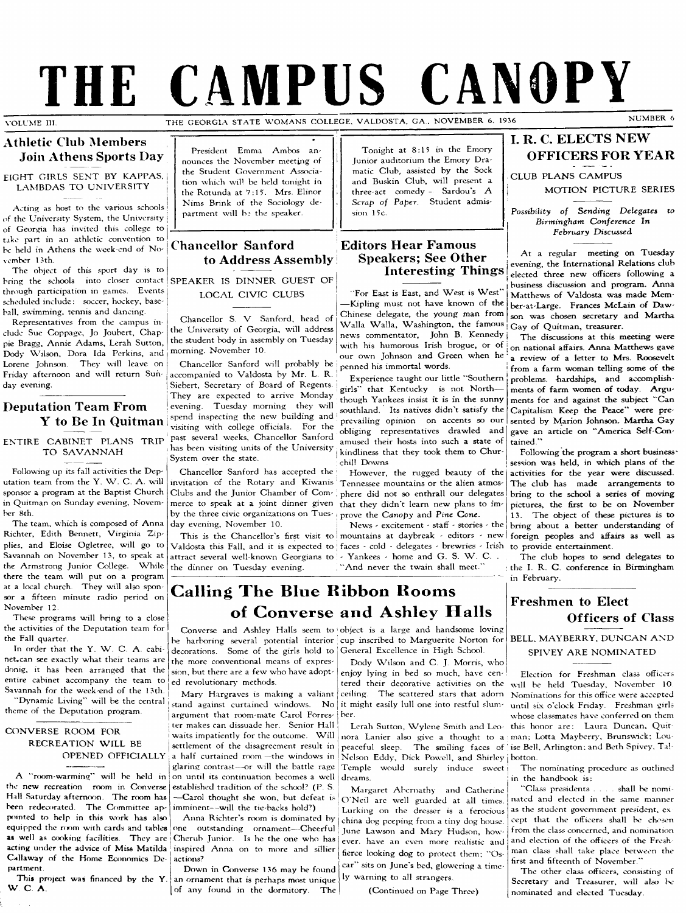# **THE CAMPUS CANOPY**

VOLUME III.

THE GEORGIA STATE WOMANS COLLEGE, VALDOSTA, GA., NOVEMBER 6, 1936

#### **Athletic Club Members Join Athens Sports Day**

**EIGHT GIRLS SENT BY KAPPAS, LAMBDAS TO UNIVERSITY** 

**Acting as ho^t to the various schools < of the University System, the University } of Georgia has invited this college to take part in an athletic convention to** be held in Athens the week-end of No**vember 13 th.**

**The object of this sport day is to bring the schools into closer contact through participation in games. Events scheduled include: soccer, hockey, baseball, swimming, tennis and dancing.**

**Representatives from the campus in elude Sue Coppage, Jo Joubert, Chappie Bragg, Annie Adams, Lerah Sutton, Dody V^Tlson, Dora Ida Perkins, and** Lorene Johnson. They will leave on **Friday afternoon and will return Sunday evening.**

## **Deputation Team From Y to Be In Quitman**

#### **ENTIRE CABINET PLANS TRIP TO SAVANNAH**

**Following up its fall activities the Dep**utation team from the Y. W. C. A. will **sponsor a program at the Baptist Church in Quitman on Sunday evening, Novem**her 8th.

**The team, which is composed of Anna Richter, Edith Bennett, Virginia Zipplies, and Eloise Ogletrec, will go to** Savannah on November 13, to speak at the Armstrong Junior College. While **there the team will put on a program at a local church. They will also spon sor a fifteen minute radio period on November 12.**

**These programs will bring to a close the activities of the Deputation team for the Fall quarter.**

In order that the Y. W. C. A. cabinet.can see exactly what their teams are **donig, it has been arranged that the entire cabinet accompany the team to** Savannah for the week-end of the 13th.

"Dynamic Living" will be the central **theme of the Deputation program**

#### **CONVERSE ROOM FOR RECREATION WILL BE OPENED OFFICIALLY**

**A "room-warming" will be held in the new recreation room in Converse** Hall Saturday afternoon. The room has **been redecorated. The Committee appxiinted U) help in this work has also equipped the room with cards and tables as well as cooking facilities. They are acting under the advice of Miss Matilda** Callaway of the Home Economics De-<br>partment.

This project was financed by the Y. **W C A**

**President Emma Ambos an**nounces the November meeting of **the Student Government Association which wib be held tonight in** the Rotunda at 7:15. Mrs. Elinor **Nims Brink of the Sociology department will be the speaker.**

### **ChanceHor Sanford to Address Assembly**

**SPEAKER IS DINNER GUEST OF LOCAL CIVIC CLUBS** 

**Chancellor S. V Sanford, head of the University of Georgia, will address the student body in assembly on Tuesday morning. November 10.**

**Chancellor Sanford will probably be** accompanied to Valdosta by Mr. L. R. **Siebert, Secretary^ of Board of Regents. They are expected to arrive Monday evening. Tuesday morning they will spend inspecting the new building and visiting with college officials. For the past several weeks. Chancellor Sanford has been visiting units of the University System over the state.**

**Chancellor Sanford has accepted the by the three civic organizations on Tues-} prove the Canopy and Pine Cone. day evening, November 10.**

**Valdosta this Fall, and it is expected to faces - cold - delegates - brewcies - Icish attract several well-known Georgians to - Yankees - home and C . S. W . C . . the dinner on Tuesday evening.**

**Tonight at 8:15 in the Emory Junior auditorium the Emory Dramatic Club, assisted by the Sock and Buskin Club, will present a three-act comedy - Sardouis A Scrap of Paper. Student admis**sion 15c.

#### **Editors Hear Famous** <sup>I</sup>**Speakers; See Other Interesting Things**

"For East is East, and West is West" **— Kipling must not have known of the Chinese delegate, the young man from W alla W alla, Washington, the famous news commentator, John B. Kennedy** with his humorous Irish brogue, or of **our own Johnson and Green when he I penned his immortal words.**

**! Expecience taught our little "Southern ! girls" that Kentucky is not North though Yankees insist it is in the sunny southland. Its natives didn't satisfy the prevailing opinion on accents so our obliging representatives drawled and amused their hosts into such a state of I kindliness that they took them to Churchill Downs**

invitation of the Rotary and Kiwanis Tennessee mountains or the alien atmos-**Clubs and the Junior Chamber of Com I phere did not so enthrall our delegates merce to speak at a joint dinner given that they didn't learn new plans to im- I However, the rugged beauty of the**

**This is the Chancellor^ first visit to ! mountains at daybreak - editors - new** News - excitement - staff - stories - the

"And never the twain shall meet.

## **I. R. C. ELECTS NEW OFFICERS FOR YEAR**

**CLUB PLANS CAMPUS** 

**MOTION PICTURE SERIES** 

**Possibility of Sending Delegates to Birmingham Conference In February Discussed**

**A t a regular meeting on Tuesday evening, the International Relations club elected three new officers following a business discussion and program. Anna** Matthews of Valdosta was made Mem**ber at Large. Frances McLein of Daw son was chosen secretary and Martha Gay of Quitman, treasurer.**

**The discussions at this meeting were on national affairs. Anna Matthews gave a review of a letter to Mrs. Roosevelt from a farm woman telling some of the** problems. hardships, and accomplishments of farm women of today. Arguments for and against the subject "Can **Capitalism Keep the Peace'' were pre**sented by Marion Johnson. Martha Gay gave an article on "America Self-Con**tained."**

**Following the program a short business session was held, in which plans of the activities for the year were discussed. The club has made arrangements to** bring to the school a series of moving **pictures, the first to be on November 13. The object of these pictures is to** bring about a better understanding of **foreign peoples and affairs as well as to provide entertainment.**

**The club hopes to send delegates to the I R. C . conference in Birmingham** in February.

## **Freshmen to Elect Officers of Class**

#### **BELL, MAYBERRY, DUNCAN AND SPIVEY ARE NOMINATED**

**Election for Freshman class officers will be held Tuesday, November 10 Nominations for this office were accepted until six o'clock Friday. Freshman girls whose classmates have conferred on them this honor are: Laura Duncan, Quit** man; Lotta Mayberry, Brunswick; Lou-

**The nominating procedure as outlined in the handbook is:**

**"Class presidents . . . shall be nominated and elected in the same manner as the student government president, ex eept that the officers shall be chosen from the class concerned, and nomination and election of the officers of the Fresh man class shall take place between the** first and fifteenth of November.'

**The other class officers, consisting of Secretary- and Treasurer, will also be nominated and elected Tuesday.**

## **Calling The Blue Ribbon Rooms of Converse and Ashley Halls**

**decorations. Some of the girls hold to ' General Excellence in High School. the more conventional means of expression, but there are a few^ who have adopted revolutionary methods.**

**Mary^ Hargraves is making a valiant** stand against curtained windows. No it might easily lull one into restful slum**argument that room-mate Carol Forres-ber. ter makes can dissuade her. Senior Hall** waits impatiently for the outcome. Will **settlement of the disagreement result in a half curtained room— the window^s in glaring contrast— or will the battle rage on until its continuation becomes a well**

**established tradition of the school? (P S. — Carol thought she won, but defeat is** imminent--will the tie-backs hold?)

**one outstanding ornament— Cheerful Cherub Junior. Is he the one who has inspired Anna on to more and sillier**  $actions?$ **Down in Converse 1 36 may be found**

**an ornament that is perhaps most unique of any found in the dormitory. The**

Converse and Ashley Halls seem to object is a large and handsome loving **be harboring several potential interior cup inscribed to Marguerite Norton for**

**Dody W ilson and C . J. Morris, who enjoy lying in bed so much, have centered their decorative activities on the ceiling. The scattered stars that adorn**

**Lerah Sutton, W ylene Smith and Leo nora Lanier also give a thought to a peaceful sleep. The smiling faces of ise Bell, Arlington; and Beth Spivey, Ta! Nelson Eddy\ Dick Powell, and Shirley botton. Temple would surely induce sweet dreams.**

Anna Richter's room is dominated by china dog peeping from a tiny dog house. **Margaret Abernathy and Catherine O 'N eil arc well guarded at all times. Lurking on the dresser is a ferocious** June Lawson and Mary Hudson, how**ever, have an even more realistic and** fierce looking dog to protect them; "Os**car" sits on June's bed, glowering a time ly warning to all strangers.**

**(Continued on Page Three)**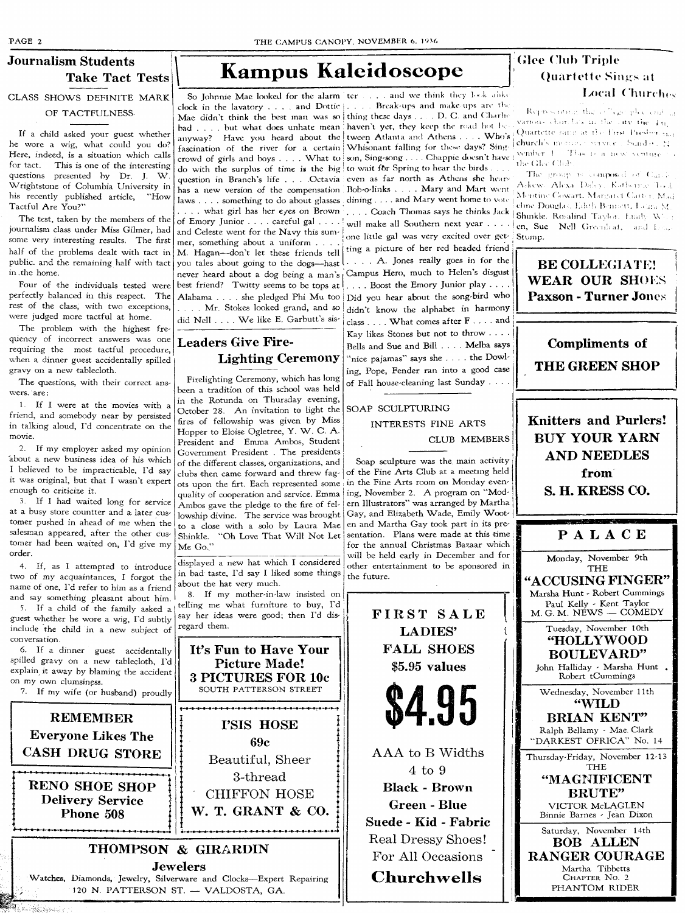## **Journalism Students CLASS SHOWS DEFINITE MARK**

**OF TACTFULNESS** 

**If a child asked your guest whether he wore a wig, what could you do? Here, indeed, is a situation which calls for tact. This is one of the interesting** questions presented by Dr. J. W **Wrightstone of Columbia University in** his recently published article, "How **Tactful Are You?"**

**The test, taken by the members of the journalism class under Miss Gilmer, had some very interesting results. The first half of the problems dealt with tact in public, and the remaining half with tact** in the home.

**Four of the individuals tested were perfectly balanced in this respect. The rest ot the class, with two exceptions, were judged more tactful at home.**

**The problem with the highest frequency of incorrect answers was one requiring the most tactful procedure, when a dinner guest accidentally spilled** gravy on a new tablecloth.

**The questions, with their correct ans**wers. are:

**1. If I were at the movies with a friend, and somebody near by persisted in talking aloud, Fd concentrate on the movie.**

**2. If my employer asked my opinion about a new business idea of his which I believed to be impracticable. I'd say it w^as original, but that I wasn't expert enough to criticize it.**

**3. If I had winted long for service at a busy store countter and a later customer pushed in ahead of me when the salesman appeared, after the other customer had been waited on. I'd give my order.**

**4. If, as I attempted to introduce two of my acquaintances, I forgot the name of one. I'd refer to him as a friend and say something pleasant about him.**

**5. If a child of the family asked a guest whether he wore a wig. I'd subtly include the child in a new subject of conversation.**

**6. If a dinner guest accidentally spilled gravy on a new tablecloth. I'd explain it away by blaming the accident on my own clumsiness.**

**7. If my wife (or husband) proudly**

**REMEMBER Everyone Likes The CASH DRUG STORE**

**RENO SHOE SHOP Delivery Service Phone 508**

## **Take Tact Tests Kampus Kaleidoscope**

**clock in the lavatory . . . . and Dottic**  $\vert$  . . . . Break-ups and make-ups are th **Mae didn't think the best man was so thing these days . D C and Charii' had .... but what does unhate mean haven't yet, they keep the road hot be** anyway? Have you heard about the tween Atlanta and Athens .... Who's **fascination of the river for a certain Whisonant falling for tliese days? Sing crowd of girls and boys .... What to** son, Sing-song .... Chappie deesn't have like Clear Chili<br>Learnity the Clear Chili **do with the surplus of time is the big to wait fOr Spring to hear the birds . . . question in Branch's life . . . .Octavia even as far north as Athens she liear! has a new version of the compensation Bob-o-links . . . Mary and Mart went laws .... something to do about glasses dining .... and Mary went home to vote . . . . what girl has her eyes on Brown . . . . Coach Thomas says he thinks Jack of Emory Junior .... careful gal .... and Celeste went for the Navy this sum**mer, something about a uniform. M. Hagan-don't let these friends tell **you tales about going to the dogs— hast never heard about a dog being a man's best friend? Twitty seems to be tops at Alabama .... she pledged Phi M u too Did you hear about the song-bird who . . . . M r. Stokes looked grand, and so** did Nell . . . . We like E. Garbutt's sis-

## **Leaders Give Fire-Lighting Ceremony**

**Firelighting Ceremony, which has long been a tradition of this school was held in the Rotunda on Thursday evening,** October 28. An invitation to light the **fires of fellowship was given by Miss** Hopper to Eloise Ogletree, Y. W. C. A. **President and Emma Ambos, Student Government President . The presidents of the different classes, organizations, and clubs then came forward and threw fagots upon the firt. Each represented some quality of cooperation and service. Emma Ambos gave the pledge to the fire of fellowship divine. The service was brought** to a close with a solo by Laura Mae Shinkle. "Oh Love That Will Not Let **Me Go.** 

**displayed a new hat which I considered in bad taste. I'd say I liked some things about the hat very much.**

**8. If my mother-in-law insisted on ^ telling me what furniture to buy. I'd say her ideas were good; then I'd disregard them.**

It's Fun to Have Your **Picture Made! 3 PICTURES FOR 10c SOUTH PATTERSON STREET I'SIS HOSE 69c** Beautiful, Sheer 3-thread CHIFFON HOSE **W. T. GRANT & CO.**

**THOMPSON & GIRARDIN Jewelers** Watches, Diamonds, Jewelry, Silverware and Clocks-Expert Repairing 120 N. PATTERSON ST. - VALDOSTA, GA.

So Johnnie Mae looked for the alarm 'ter . . . . and we think they look alike **will make all Southern next year . . . . one little ga! was very excited over getting a picture of her red headed friend . . . . A . Jones really goes in for the Campus Hero, much to Helen's disgust . . . . Boost the Emory Junior play .... didn't know the alphabet in harmony** class . . . . What comes after **F** . . . . and **Kay likes Stones but not to throw . . . . Bells and Sue and Bill .... Melba says "nice pajamas" says she .... the Dowling, Pope, Pender ran into a good case**

#### **SOAP SCULPTURING**

**of Fall house-cleaning last Sunday ....**

**INTERESTS FINE ARTS CLUB MEMBERS** 

**Soap sculpture was the main activity of the Fine Arts Club at a meeting held in the Fine Arts room on Monday even**ing, November 2. A program on "Mod**ern Illustrators" was arranged by Martha** Gay, and Elizabeth Wade, Emily Woot**en and Martha Gay took part in its presentation. Plans were made at this time for the annual Christmas Bazaar which will be held early in December and for other entertainment to be sponsored in the future.**



**Green - Blue Suede - Kid - Fabric** Real Dressy Shoes! For All Occasions

## **Churchwells**

## **(^lee Chih Triple Quartette Sings at Local Churches**

**t**

Representing the offices place and in **Various** chain Lex in the suivable Iti.<br>Quartette sarist at the First Presbor,  $\epsilon_{\text{min}}$ . church's morning service. Sund e. N.

The group is composed of Carel-Askew: Alexa Daley, Katherne Tool,<br>Montine Cowart, Margaret Carter, Mad **eline Douglas, Ldith Benisett, Licini M.** Shinkle, Ro-alind Taylor, Enaby W ; en, Sue Nell Greenhaf, and hea, Stump.

**BE COLLEGIATE! WEAR OUR SHOES Paxson - Turner Jones**

**Compliments of THE GREEN SHOP**

**Knitters and Purlers! BUY YOUR YARN AND NEEDLES from S. H. KRESS CO.**

## **P A L A C E**

**Monday, November 9th T H E**

**ACCUSING FINGER'' Marsha Hunt - Robert Cummings Paul Kelly - Kent Taylor M . G. M . N E W S — C O M E D Y**

**Tuesday, November 10th HOLLYWOOD BOULEVARD" John Halliday - Marsha Hunt**

**Robert tCummings Wednesday, November 11 th**

**"WILD BRIAN KENT" Ralph Bellamy - Mae. Clark** "DARKEST OFRICA" No. 14

**Thursday-Friday, November 12-13 T H E**

> **"MAGNIFICENT BRUTE"**

**VICTOR McLAGLEN Binnie Barnes - Jean Dixon**

**Saturday, November 14th BOB ALLEN RANGER COURAGE Martha Tibbetts CHAPTER No. 2 PHANTOM RIDER**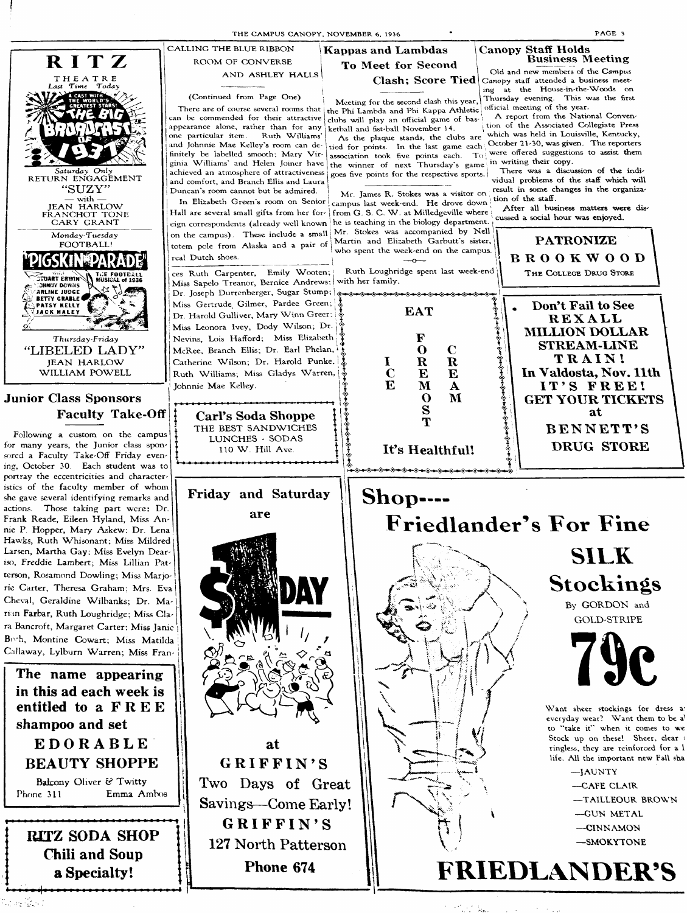

.<br>Starfor